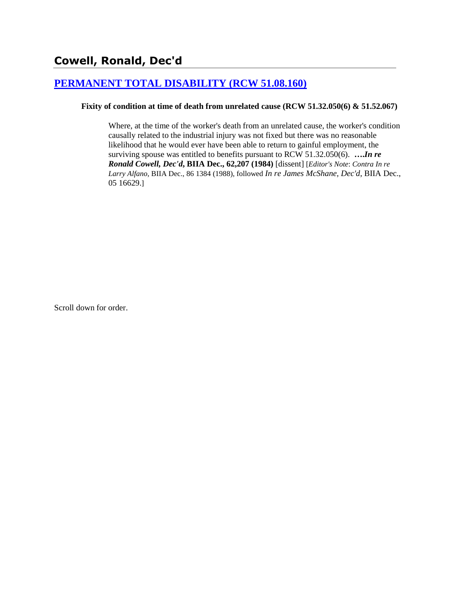# **[PERMANENT TOTAL DISABILITY \(RCW 51.08.160\)](http://www.biia.wa.gov/SDSubjectIndex.html#PERMANENT_TOTAL_DISABILITY)**

#### **Fixity of condition at time of death from unrelated cause (RCW 51.32.050(6) & 51.52.067)**

Where, at the time of the worker's death from an unrelated cause, the worker's condition causally related to the industrial injury was not fixed but there was no reasonable likelihood that he would ever have been able to return to gainful employment, the surviving spouse was entitled to benefits pursuant to RCW 51.32.050(6). **….***In re Ronald Cowell, Dec'd***, BIIA Dec., 62,207 (1984)** [dissent] [*Editor's Note*: *Contra In re Larry Alfano*, BIIA Dec., 86 1384 (1988), followed *In re James McShane, Dec'd*, BIIA Dec., 05 16629.]

Scroll down for order.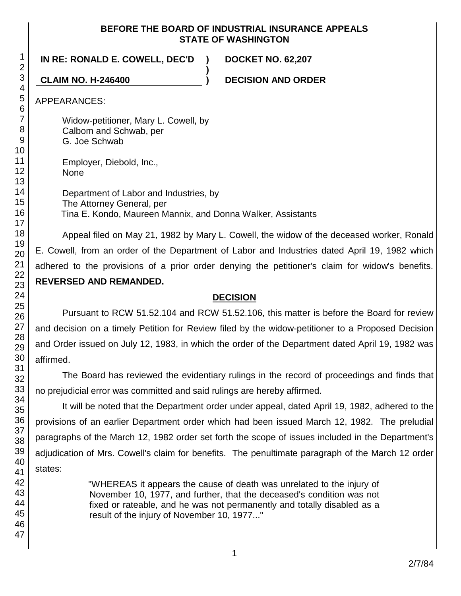#### **BEFORE THE BOARD OF INDUSTRIAL INSURANCE APPEALS STATE OF WASHINGTON**

**)**

## **IN RE: RONALD E. COWELL, DEC'D ) DOCKET NO. 62,207**

**CLAIM NO. H-246400 ) DECISION AND ORDER**

APPEARANCES:

Widow-petitioner, Mary L. Cowell, by Calbom and Schwab, per G. Joe Schwab

Employer, Diebold, Inc., None

Department of Labor and Industries, by The Attorney General, per Tina E. Kondo, Maureen Mannix, and Donna Walker, Assistants

Appeal filed on May 21, 1982 by Mary L. Cowell, the widow of the deceased worker, Ronald E. Cowell, from an order of the Department of Labor and Industries dated April 19, 1982 which adhered to the provisions of a prior order denying the petitioner's claim for widow's benefits. **REVERSED AND REMANDED.**

## **DECISION**

Pursuant to RCW 51.52.104 and RCW 51.52.106, this matter is before the Board for review and decision on a timely Petition for Review filed by the widow-petitioner to a Proposed Decision and Order issued on July 12, 1983, in which the order of the Department dated April 19, 1982 was affirmed.

The Board has reviewed the evidentiary rulings in the record of proceedings and finds that no prejudicial error was committed and said rulings are hereby affirmed.

It will be noted that the Department order under appeal, dated April 19, 1982, adhered to the provisions of an earlier Department order which had been issued March 12, 1982. The preludial paragraphs of the March 12, 1982 order set forth the scope of issues included in the Department's adjudication of Mrs. Cowell's claim for benefits. The penultimate paragraph of the March 12 order states:

> "WHEREAS it appears the cause of death was unrelated to the injury of November 10, 1977, and further, that the deceased's condition was not fixed or rateable, and he was not permanently and totally disabled as a result of the injury of November 10, 1977..."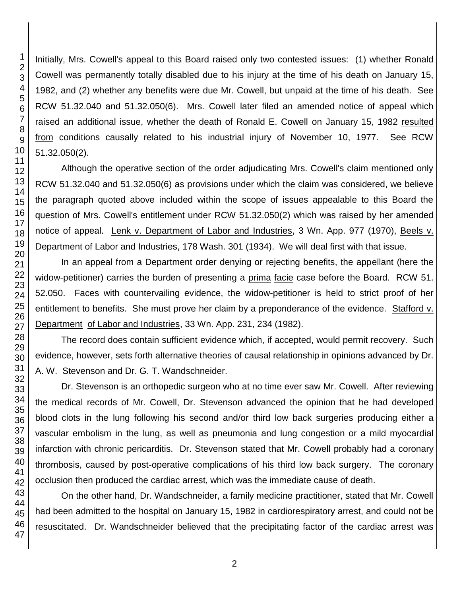Initially, Mrs. Cowell's appeal to this Board raised only two contested issues: (1) whether Ronald Cowell was permanently totally disabled due to his injury at the time of his death on January 15, 1982, and (2) whether any benefits were due Mr. Cowell, but unpaid at the time of his death. See RCW 51.32.040 and 51.32.050(6). Mrs. Cowell later filed an amended notice of appeal which raised an additional issue, whether the death of Ronald E. Cowell on January 15, 1982 resulted from conditions causally related to his industrial injury of November 10, 1977. See RCW 51.32.050(2).

Although the operative section of the order adjudicating Mrs. Cowell's claim mentioned only RCW 51.32.040 and 51.32.050(6) as provisions under which the claim was considered, we believe the paragraph quoted above included within the scope of issues appealable to this Board the question of Mrs. Cowell's entitlement under RCW 51.32.050(2) which was raised by her amended notice of appeal. Lenk v. Department of Labor and Industries, 3 Wn. App. 977 (1970), Beels v. Department of Labor and Industries, 178 Wash. 301 (1934). We will deal first with that issue.

In an appeal from a Department order denying or rejecting benefits, the appellant (here the widow-petitioner) carries the burden of presenting a prima facie case before the Board. RCW 51. 52.050. Faces with countervailing evidence, the widow-petitioner is held to strict proof of her entitlement to benefits. She must prove her claim by a preponderance of the evidence. Stafford v. Department of Labor and Industries, 33 Wn. App. 231, 234 (1982).

The record does contain sufficient evidence which, if accepted, would permit recovery. Such evidence, however, sets forth alternative theories of causal relationship in opinions advanced by Dr. A. W. Stevenson and Dr. G. T. Wandschneider.

Dr. Stevenson is an orthopedic surgeon who at no time ever saw Mr. Cowell. After reviewing the medical records of Mr. Cowell, Dr. Stevenson advanced the opinion that he had developed blood clots in the lung following his second and/or third low back surgeries producing either a vascular embolism in the lung, as well as pneumonia and lung congestion or a mild myocardial infarction with chronic pericarditis. Dr. Stevenson stated that Mr. Cowell probably had a coronary thrombosis, caused by post-operative complications of his third low back surgery. The coronary occlusion then produced the cardiac arrest, which was the immediate cause of death.

On the other hand, Dr. Wandschneider, a family medicine practitioner, stated that Mr. Cowell had been admitted to the hospital on January 15, 1982 in cardiorespiratory arrest, and could not be resuscitated. Dr. Wandschneider believed that the precipitating factor of the cardiac arrest was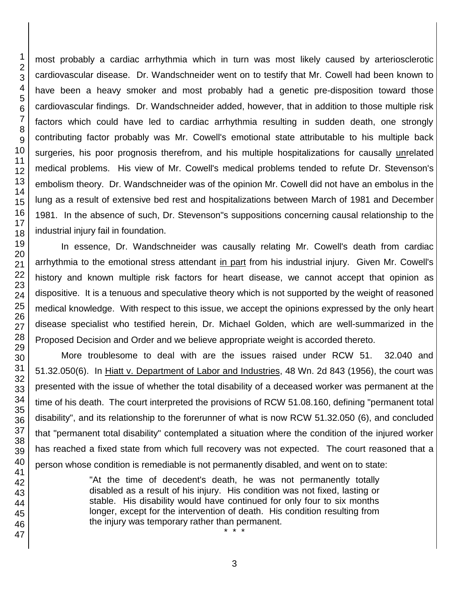1 2 3

most probably a cardiac arrhythmia which in turn was most likely caused by arteriosclerotic cardiovascular disease. Dr. Wandschneider went on to testify that Mr. Cowell had been known to have been a heavy smoker and most probably had a genetic pre-disposition toward those cardiovascular findings. Dr. Wandschneider added, however, that in addition to those multiple risk factors which could have led to cardiac arrhythmia resulting in sudden death, one strongly contributing factor probably was Mr. Cowell's emotional state attributable to his multiple back surgeries, his poor prognosis therefrom, and his multiple hospitalizations for causally unrelated medical problems. His view of Mr. Cowell's medical problems tended to refute Dr. Stevenson's embolism theory. Dr. Wandschneider was of the opinion Mr. Cowell did not have an embolus in the lung as a result of extensive bed rest and hospitalizations between March of 1981 and December 1981. In the absence of such, Dr. Stevenson"s suppositions concerning causal relationship to the industrial injury fail in foundation.

In essence, Dr. Wandschneider was causally relating Mr. Cowell's death from cardiac arrhythmia to the emotional stress attendant in part from his industrial injury. Given Mr. Cowell's history and known multiple risk factors for heart disease, we cannot accept that opinion as dispositive. It is a tenuous and speculative theory which is not supported by the weight of reasoned medical knowledge. With respect to this issue, we accept the opinions expressed by the only heart disease specialist who testified herein, Dr. Michael Golden, which are well-summarized in the Proposed Decision and Order and we believe appropriate weight is accorded thereto.

More troublesome to deal with are the issues raised under RCW 51. 32.040 and 51.32.050(6). In Hiatt v. Department of Labor and Industries, 48 Wn. 2d 843 (1956), the court was presented with the issue of whether the total disability of a deceased worker was permanent at the time of his death. The court interpreted the provisions of RCW 51.08.160, defining "permanent total disability", and its relationship to the forerunner of what is now RCW 51.32.050 (6), and concluded that "permanent total disability" contemplated a situation where the condition of the injured worker has reached a fixed state from which full recovery was not expected. The court reasoned that a person whose condition is remediable is not permanently disabled, and went on to state:

> "At the time of decedent's death, he was not permanently totally disabled as a result of his injury. His condition was not fixed, lasting or stable. His disability would have continued for only four to six months longer, except for the intervention of death. His condition resulting from the injury was temporary rather than permanent. \* \* \*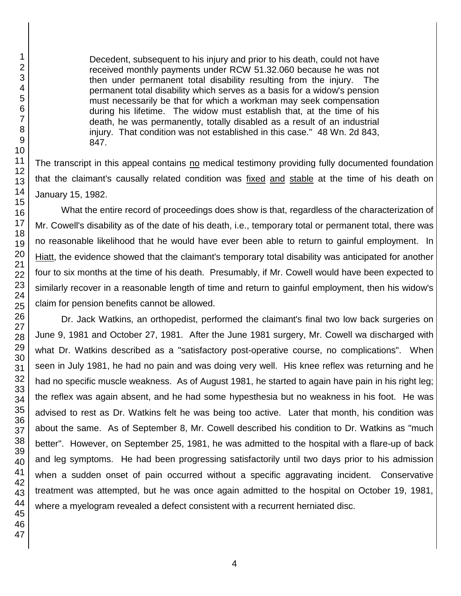Decedent, subsequent to his injury and prior to his death, could not have received monthly payments under RCW 51.32.060 because he was not then under permanent total disability resulting from the injury. The permanent total disability which serves as a basis for a widow's pension must necessarily be that for which a workman may seek compensation during his lifetime. The widow must establish that, at the time of his death, he was permanently, totally disabled as a result of an industrial injury. That condition was not established in this case." 48 Wn. 2d 843, 847.

The transcript in this appeal contains no medical testimony providing fully documented foundation that the claimant's causally related condition was fixed and stable at the time of his death on January 15, 1982.

What the entire record of proceedings does show is that, regardless of the characterization of Mr. Cowell's disability as of the date of his death, i.e., temporary total or permanent total, there was no reasonable likelihood that he would have ever been able to return to gainful employment. In Hiatt, the evidence showed that the claimant's temporary total disability was anticipated for another four to six months at the time of his death. Presumably, if Mr. Cowell would have been expected to similarly recover in a reasonable length of time and return to gainful employment, then his widow's claim for pension benefits cannot be allowed.

Dr. Jack Watkins, an orthopedist, performed the claimant's final two low back surgeries on June 9, 1981 and October 27, 1981. After the June 1981 surgery, Mr. Cowell wa discharged with what Dr. Watkins described as a "satisfactory post-operative course, no complications". When seen in July 1981, he had no pain and was doing very well. His knee reflex was returning and he had no specific muscle weakness. As of August 1981, he started to again have pain in his right leg; the reflex was again absent, and he had some hypesthesia but no weakness in his foot. He was advised to rest as Dr. Watkins felt he was being too active. Later that month, his condition was about the same. As of September 8, Mr. Cowell described his condition to Dr. Watkins as "much better". However, on September 25, 1981, he was admitted to the hospital with a flare-up of back and leg symptoms. He had been progressing satisfactorily until two days prior to his admission when a sudden onset of pain occurred without a specific aggravating incident. Conservative treatment was attempted, but he was once again admitted to the hospital on October 19, 1981, where a myelogram revealed a defect consistent with a recurrent herniated disc.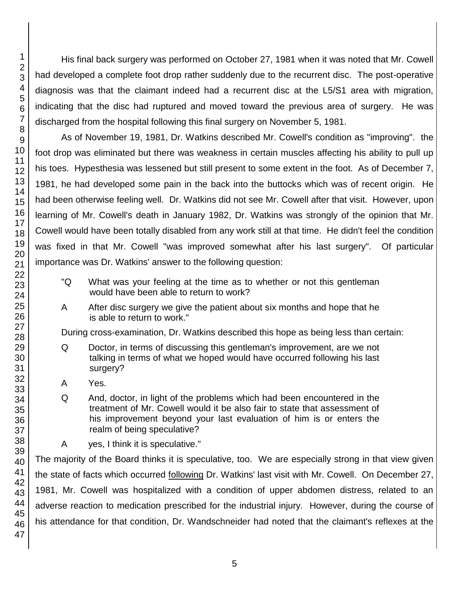His final back surgery was performed on October 27, 1981 when it was noted that Mr. Cowell had developed a complete foot drop rather suddenly due to the recurrent disc. The post-operative diagnosis was that the claimant indeed had a recurrent disc at the L5/S1 area with migration, indicating that the disc had ruptured and moved toward the previous area of surgery. He was discharged from the hospital following this final surgery on November 5, 1981.

As of November 19, 1981, Dr. Watkins described Mr. Cowell's condition as "improving". the foot drop was eliminated but there was weakness in certain muscles affecting his ability to pull up his toes. Hypesthesia was lessened but still present to some extent in the foot. As of December 7, 1981, he had developed some pain in the back into the buttocks which was of recent origin. He had been otherwise feeling well. Dr. Watkins did not see Mr. Cowell after that visit. However, upon learning of Mr. Cowell's death in January 1982, Dr. Watkins was strongly of the opinion that Mr. Cowell would have been totally disabled from any work still at that time. He didn't feel the condition was fixed in that Mr. Cowell "was improved somewhat after his last surgery". Of particular importance was Dr. Watkins' answer to the following question:

- "Q What was your feeling at the time as to whether or not this gentleman would have been able to return to work?
- A After disc surgery we give the patient about six months and hope that he is able to return to work."

During cross-examination, Dr. Watkins described this hope as being less than certain:

- Q Doctor, in terms of discussing this gentleman's improvement, are we not talking in terms of what we hoped would have occurred following his last surgery?
- A Yes.
- Q And, doctor, in light of the problems which had been encountered in the treatment of Mr. Cowell would it be also fair to state that assessment of his improvement beyond your last evaluation of him is or enters the realm of being speculative?
- A yes, I think it is speculative."

The majority of the Board thinks it is speculative, too. We are especially strong in that view given the state of facts which occurred following Dr. Watkins' last visit with Mr. Cowell. On December 27, 1981, Mr. Cowell was hospitalized with a condition of upper abdomen distress, related to an adverse reaction to medication prescribed for the industrial injury. However, during the course of his attendance for that condition, Dr. Wandschneider had noted that the claimant's reflexes at the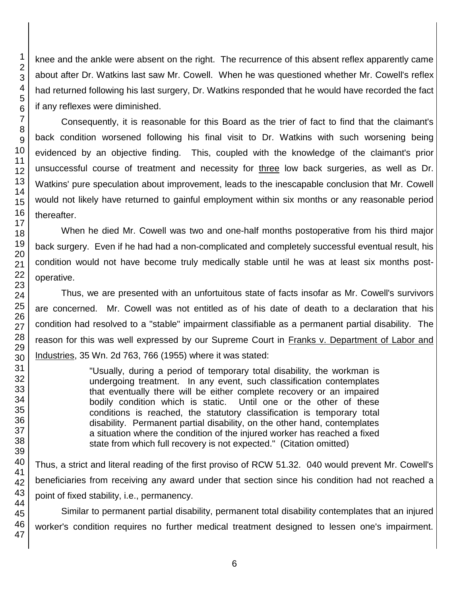knee and the ankle were absent on the right. The recurrence of this absent reflex apparently came about after Dr. Watkins last saw Mr. Cowell. When he was questioned whether Mr. Cowell's reflex had returned following his last surgery, Dr. Watkins responded that he would have recorded the fact if any reflexes were diminished.

Consequently, it is reasonable for this Board as the trier of fact to find that the claimant's back condition worsened following his final visit to Dr. Watkins with such worsening being evidenced by an objective finding. This, coupled with the knowledge of the claimant's prior unsuccessful course of treatment and necessity for three low back surgeries, as well as Dr. Watkins' pure speculation about improvement, leads to the inescapable conclusion that Mr. Cowell would not likely have returned to gainful employment within six months or any reasonable period thereafter.

When he died Mr. Cowell was two and one-half months postoperative from his third major back surgery. Even if he had had a non-complicated and completely successful eventual result, his condition would not have become truly medically stable until he was at least six months postoperative.

Thus, we are presented with an unfortuitous state of facts insofar as Mr. Cowell's survivors are concerned. Mr. Cowell was not entitled as of his date of death to a declaration that his condition had resolved to a "stable" impairment classifiable as a permanent partial disability. The reason for this was well expressed by our Supreme Court in Franks v. Department of Labor and Industries, 35 Wn. 2d 763, 766 (1955) where it was stated:

> "Usually, during a period of temporary total disability, the workman is undergoing treatment. In any event, such classification contemplates that eventually there will be either complete recovery or an impaired bodily condition which is static. Until one or the other of these conditions is reached, the statutory classification is temporary total disability. Permanent partial disability, on the other hand, contemplates a situation where the condition of the injured worker has reached a fixed state from which full recovery is not expected." (Citation omitted)

Thus, a strict and literal reading of the first proviso of RCW 51.32. 040 would prevent Mr. Cowell's beneficiaries from receiving any award under that section since his condition had not reached a point of fixed stability, i.e., permanency.

Similar to permanent partial disability, permanent total disability contemplates that an injured worker's condition requires no further medical treatment designed to lessen one's impairment.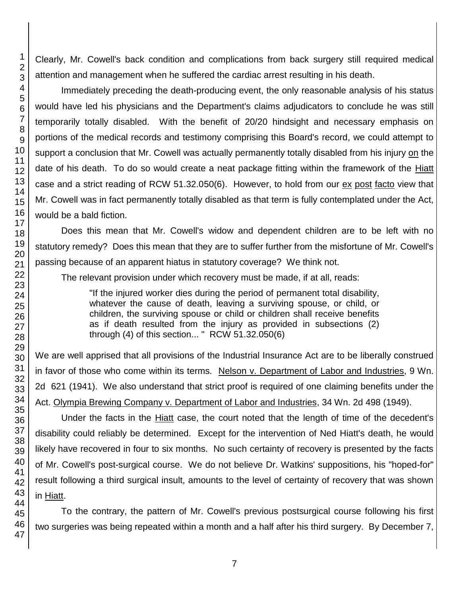Clearly, Mr. Cowell's back condition and complications from back surgery still required medical attention and management when he suffered the cardiac arrest resulting in his death.

Immediately preceding the death-producing event, the only reasonable analysis of his status would have led his physicians and the Department's claims adjudicators to conclude he was still temporarily totally disabled. With the benefit of 20/20 hindsight and necessary emphasis on portions of the medical records and testimony comprising this Board's record, we could attempt to support a conclusion that Mr. Cowell was actually permanently totally disabled from his injury on the date of his death. To do so would create a neat package fitting within the framework of the Hiatt case and a strict reading of RCW 51.32.050(6). However, to hold from our ex post facto view that Mr. Cowell was in fact permanently totally disabled as that term is fully contemplated under the Act, would be a bald fiction.

Does this mean that Mr. Cowell's widow and dependent children are to be left with no statutory remedy? Does this mean that they are to suffer further from the misfortune of Mr. Cowell's passing because of an apparent hiatus in statutory coverage? We think not.

The relevant provision under which recovery must be made, if at all, reads:

"If the injured worker dies during the period of permanent total disability, whatever the cause of death, leaving a surviving spouse, or child, or children, the surviving spouse or child or children shall receive benefits as if death resulted from the injury as provided in subsections (2) through (4) of this section... " RCW 51.32.050(6)

We are well apprised that all provisions of the Industrial Insurance Act are to be liberally construed in favor of those who come within its terms. Nelson v. Department of Labor and Industries, 9 Wn. 2d 621 (1941). We also understand that strict proof is required of one claiming benefits under the Act. Olympia Brewing Company v. Department of Labor and Industries, 34 Wn. 2d 498 (1949).

Under the facts in the **Hiatt** case, the court noted that the length of time of the decedent's disability could reliably be determined. Except for the intervention of Ned Hiatt's death, he would likely have recovered in four to six months. No such certainty of recovery is presented by the facts of Mr. Cowell's post-surgical course. We do not believe Dr. Watkins' suppositions, his "hoped-for" result following a third surgical insult, amounts to the level of certainty of recovery that was shown in Hiatt.

To the contrary, the pattern of Mr. Cowell's previous postsurgical course following his first two surgeries was being repeated within a month and a half after his third surgery. By December 7,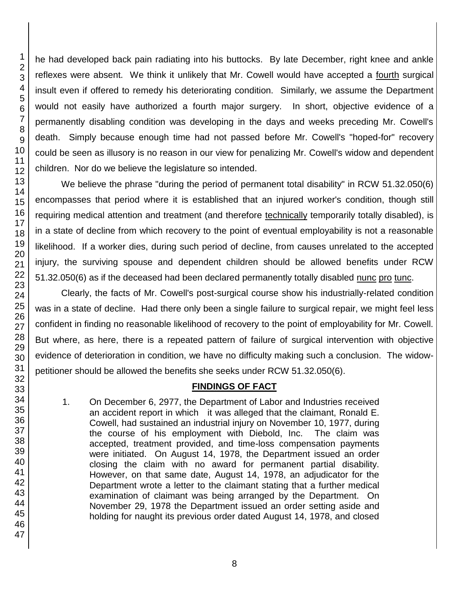he had developed back pain radiating into his buttocks. By late December, right knee and ankle reflexes were absent. We think it unlikely that Mr. Cowell would have accepted a fourth surgical insult even if offered to remedy his deteriorating condition. Similarly, we assume the Department would not easily have authorized a fourth major surgery. In short, objective evidence of a permanently disabling condition was developing in the days and weeks preceding Mr. Cowell's death. Simply because enough time had not passed before Mr. Cowell's "hoped-for" recovery could be seen as illusory is no reason in our view for penalizing Mr. Cowell's widow and dependent children. Nor do we believe the legislature so intended.

We believe the phrase "during the period of permanent total disability" in RCW 51.32.050(6) encompasses that period where it is established that an injured worker's condition, though still requiring medical attention and treatment (and therefore technically temporarily totally disabled), is in a state of decline from which recovery to the point of eventual employability is not a reasonable likelihood. If a worker dies, during such period of decline, from causes unrelated to the accepted injury, the surviving spouse and dependent children should be allowed benefits under RCW 51.32.050(6) as if the deceased had been declared permanently totally disabled nunc pro tunc.

Clearly, the facts of Mr. Cowell's post-surgical course show his industrially-related condition was in a state of decline. Had there only been a single failure to surgical repair, we might feel less confident in finding no reasonable likelihood of recovery to the point of employability for Mr. Cowell. But where, as here, there is a repeated pattern of failure of surgical intervention with objective evidence of deterioration in condition, we have no difficulty making such a conclusion. The widowpetitioner should be allowed the benefits she seeks under RCW 51.32.050(6).

## **FINDINGS OF FACT**

1. On December 6, 2977, the Department of Labor and Industries received an accident report in which it was alleged that the claimant, Ronald E. Cowell, had sustained an industrial injury on November 10, 1977, during the course of his employment with Diebold, Inc. The claim was accepted, treatment provided, and time-loss compensation payments were initiated. On August 14, 1978, the Department issued an order closing the claim with no award for permanent partial disability. However, on that same date, August 14, 1978, an adjudicator for the Department wrote a letter to the claimant stating that a further medical examination of claimant was being arranged by the Department. On November 29, 1978 the Department issued an order setting aside and holding for naught its previous order dated August 14, 1978, and closed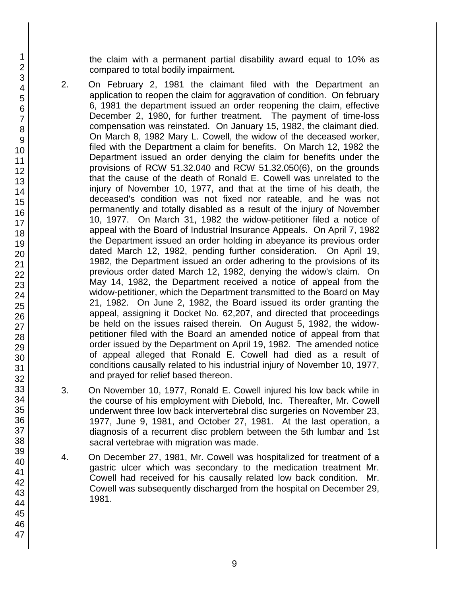the claim with a permanent partial disability award equal to 10% as compared to total bodily impairment.

- 2. On February 2, 1981 the claimant filed with the Department an application to reopen the claim for aggravation of condition. On february 6, 1981 the department issued an order reopening the claim, effective December 2, 1980, for further treatment. The payment of time-loss compensation was reinstated. On January 15, 1982, the claimant died. On March 8, 1982 Mary L. Cowell, the widow of the deceased worker, filed with the Department a claim for benefits. On March 12, 1982 the Department issued an order denying the claim for benefits under the provisions of RCW 51.32.040 and RCW 51.32.050(6), on the grounds that the cause of the death of Ronald E. Cowell was unrelated to the injury of November 10, 1977, and that at the time of his death, the deceased's condition was not fixed nor rateable, and he was not permanently and totally disabled as a result of the injury of November 10, 1977. On March 31, 1982 the widow-petitioner filed a notice of appeal with the Board of Industrial Insurance Appeals. On April 7, 1982 the Department issued an order holding in abeyance its previous order dated March 12, 1982, pending further consideration. On April 19, 1982, the Department issued an order adhering to the provisions of its previous order dated March 12, 1982, denying the widow's claim. On May 14, 1982, the Department received a notice of appeal from the widow-petitioner, which the Department transmitted to the Board on May 21, 1982. On June 2, 1982, the Board issued its order granting the appeal, assigning it Docket No. 62,207, and directed that proceedings be held on the issues raised therein. On August 5, 1982, the widowpetitioner filed with the Board an amended notice of appeal from that order issued by the Department on April 19, 1982. The amended notice of appeal alleged that Ronald E. Cowell had died as a result of conditions causally related to his industrial injury of November 10, 1977, and prayed for relief based thereon.
- 3. On November 10, 1977, Ronald E. Cowell injured his low back while in the course of his employment with Diebold, Inc. Thereafter, Mr. Cowell underwent three low back intervertebral disc surgeries on November 23, 1977, June 9, 1981, and October 27, 1981. At the last operation, a diagnosis of a recurrent disc problem between the 5th lumbar and 1st sacral vertebrae with migration was made.
- 4. On December 27, 1981, Mr. Cowell was hospitalized for treatment of a gastric ulcer which was secondary to the medication treatment Mr. Cowell had received for his causally related low back condition. Mr. Cowell was subsequently discharged from the hospital on December 29, 1981.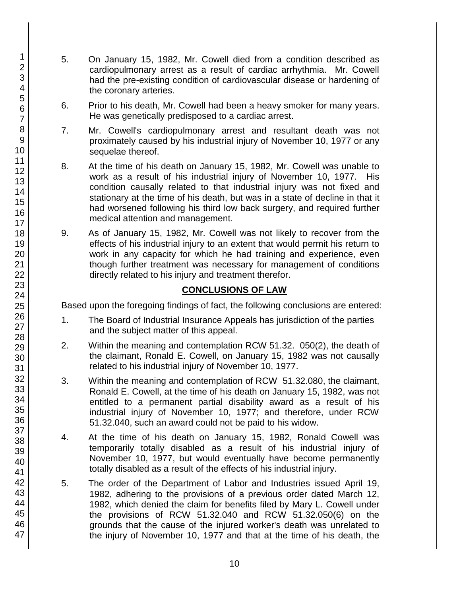- 5. On January 15, 1982, Mr. Cowell died from a condition described as cardiopulmonary arrest as a result of cardiac arrhythmia. Mr. Cowell had the pre-existing condition of cardiovascular disease or hardening of the coronary arteries.
- 6. Prior to his death, Mr. Cowell had been a heavy smoker for many years. He was genetically predisposed to a cardiac arrest.
- 7. Mr. Cowell's cardiopulmonary arrest and resultant death was not proximately caused by his industrial injury of November 10, 1977 or any sequelae thereof.
- 8. At the time of his death on January 15, 1982, Mr. Cowell was unable to work as a result of his industrial injury of November 10, 1977. His condition causally related to that industrial injury was not fixed and stationary at the time of his death, but was in a state of decline in that it had worsened following his third low back surgery, and required further medical attention and management.
- 9. As of January 15, 1982, Mr. Cowell was not likely to recover from the effects of his industrial injury to an extent that would permit his return to work in any capacity for which he had training and experience, even though further treatment was necessary for management of conditions directly related to his injury and treatment therefor.

## **CONCLUSIONS OF LAW**

Based upon the foregoing findings of fact, the following conclusions are entered:

- 1. The Board of Industrial Insurance Appeals has jurisdiction of the parties and the subject matter of this appeal.
- 2. Within the meaning and contemplation RCW 51.32. 050(2), the death of the claimant, Ronald E. Cowell, on January 15, 1982 was not causally related to his industrial injury of November 10, 1977.
- 3. Within the meaning and contemplation of RCW 51.32.080, the claimant, Ronald E. Cowell, at the time of his death on January 15, 1982, was not entitled to a permanent partial disability award as a result of his industrial injury of November 10, 1977; and therefore, under RCW 51.32.040, such an award could not be paid to his widow.
- 4. At the time of his death on January 15, 1982, Ronald Cowell was temporarily totally disabled as a result of his industrial injury of November 10, 1977, but would eventually have become permanently totally disabled as a result of the effects of his industrial injury.
- 5. The order of the Department of Labor and Industries issued April 19, 1982, adhering to the provisions of a previous order dated March 12, 1982, which denied the claim for benefits filed by Mary L. Cowell under the provisions of RCW 51.32.040 and RCW 51.32.050(6) on the grounds that the cause of the injured worker's death was unrelated to the injury of November 10, 1977 and that at the time of his death, the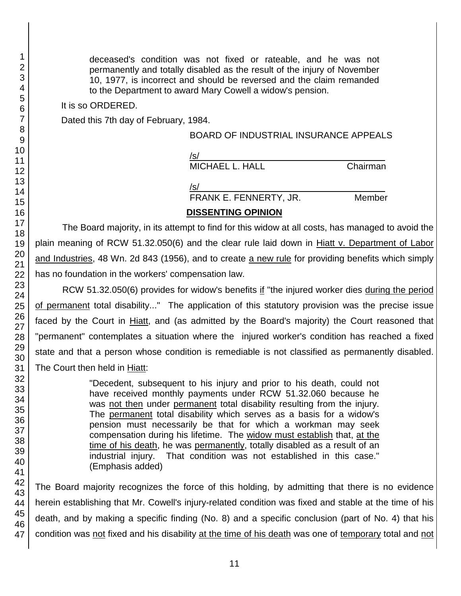deceased's condition was not fixed or rateable, and he was not permanently and totally disabled as the result of the injury of November 10, 1977, is incorrect and should be reversed and the claim remanded to the Department to award Mary Cowell a widow's pension.

It is so ORDERED.

Dated this 7th day of February, 1984.

#### BOARD OF INDUSTRIAL INSURANCE APPEALS

| /s/             |          |
|-----------------|----------|
| MICHAEL L. HALL | Chairman |

 $/$ s/ $\sim$ FRANK E. FENNERTY, JR. Member

## **DISSENTING OPINION**

The Board majority, in its attempt to find for this widow at all costs, has managed to avoid the plain meaning of RCW 51.32.050(6) and the clear rule laid down in Hiatt v. Department of Labor and Industries, 48 Wn. 2d 843 (1956), and to create a new rule for providing benefits which simply has no foundation in the workers' compensation law.

RCW 51.32.050(6) provides for widow's benefits if "the injured worker dies during the period of permanent total disability..." The application of this statutory provision was the precise issue faced by the Court in Hiatt, and (as admitted by the Board's majority) the Court reasoned that "permanent" contemplates a situation where the injured worker's condition has reached a fixed state and that a person whose condition is remediable is not classified as permanently disabled. The Court then held in Hiatt:

> "Decedent, subsequent to his injury and prior to his death, could not have received monthly payments under RCW 51.32.060 because he was not then under permanent total disability resulting from the injury. The permanent total disability which serves as a basis for a widow's pension must necessarily be that for which a workman may seek compensation during his lifetime. The widow must establish that, at the time of his death, he was permanently, totally disabled as a result of an industrial injury. That condition was not established in this case." (Emphasis added)

The Board majority recognizes the force of this holding, by admitting that there is no evidence herein establishing that Mr. Cowell's injury-related condition was fixed and stable at the time of his death, and by making a specific finding (No. 8) and a specific conclusion (part of No. 4) that his condition was not fixed and his disability at the time of his death was one of temporary total and not